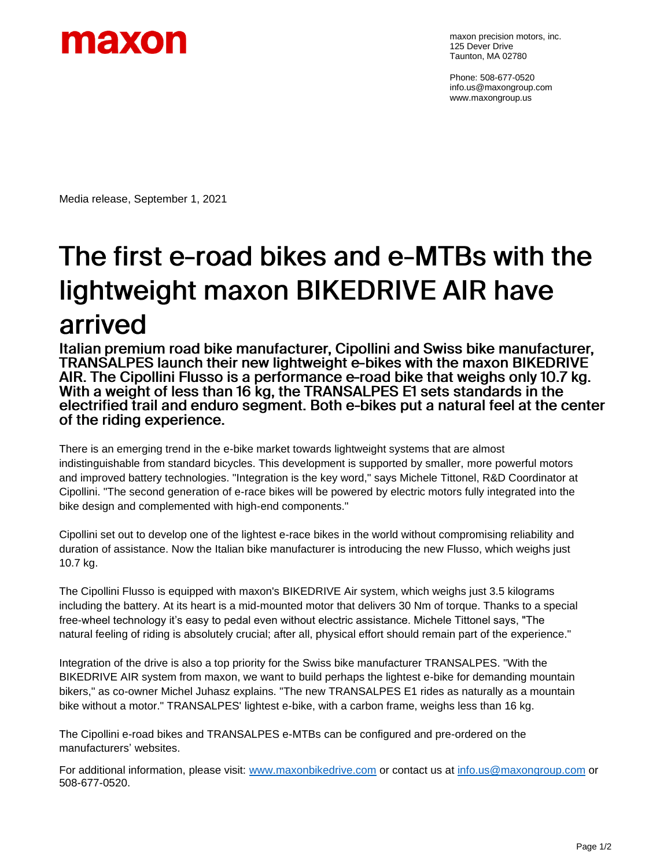

maxon precision motors, inc. 125 Dever Drive Taunton, MA 02780

Phone: 508-677-0520 info.us@maxongroup.com www.maxongroup.us

Media release, September 1, 2021

## The first e-road bikes and e-MTBs with the lightweight maxon BIKEDRIVE AIR have arrived

Italian premium road bike manufacturer, Cipollini and Swiss bike manufacturer, TRANSALPES launch their new lightweight e-bikes with the maxon BIKEDRIVE AIR. The Cipollini Flusso is a performance e-road bike that weighs only 10.7 kg. With a weight of less than 16 kg, the TRANSALPES E1 sets standards in the electrified trail and enduro segment. Both e-bikes put a natural feel at the center of the riding experience.

There is an emerging trend in the e-bike market towards lightweight systems that are almost indistinguishable from standard bicycles. This development is supported by smaller, more powerful motors and improved battery technologies. "Integration is the key word," says Michele Tittonel, R&D Coordinator at Cipollini. "The second generation of e-race bikes will be powered by electric motors fully integrated into the bike design and complemented with high-end components."

Cipollini set out to develop one of the lightest e-race bikes in the world without compromising reliability and duration of assistance. Now the Italian bike manufacturer is introducing the new Flusso, which weighs just 10.7 kg.

The Cipollini Flusso is equipped with maxon's BIKEDRIVE Air system, which weighs just 3.5 kilograms including the battery. At its heart is a mid-mounted motor that delivers 30 Nm of torque. Thanks to a special free-wheel technology it's easy to pedal even without electric assistance. Michele Tittonel says, "The natural feeling of riding is absolutely crucial; after all, physical effort should remain part of the experience."

Integration of the drive is also a top priority for the Swiss bike manufacturer TRANSALPES. "With the BIKEDRIVE AIR system from maxon, we want to build perhaps the lightest e-bike for demanding mountain bikers," as co-owner Michel Juhasz explains. "The new TRANSALPES E1 rides as naturally as a mountain bike without a motor." TRANSALPES' lightest e-bike, with a carbon frame, weighs less than 16 kg.

The Cipollini e-road bikes and TRANSALPES e-MTBs can be configured and pre-ordered on the manufacturers' websites.

For additional information, please visit: [www.maxonbikedrive.com](http://www.maxonbikedrive.com/) or contact us at [info.us@maxongroup.com](mailto:info.us@maxongroup.com) or 508-677-0520.